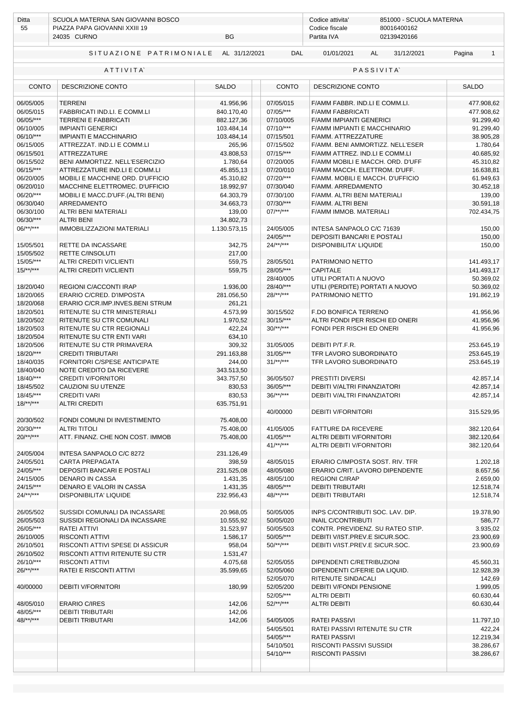| Ditta<br>55                       | SCUOLA MATERNA SAN GIOVANNI BOSCO<br>PIAZZA PAPA GIOVANNI XXIII 19<br>24035 CURNO<br><b>BG</b> |                              |                        | Codice attivita'<br>851000 - SCUOLA MATERNA<br>80016400162<br>Codice fiscale<br>02139420166<br>Partita IVA |                          |  |  |
|-----------------------------------|------------------------------------------------------------------------------------------------|------------------------------|------------------------|------------------------------------------------------------------------------------------------------------|--------------------------|--|--|
|                                   |                                                                                                |                              |                        |                                                                                                            |                          |  |  |
|                                   | SITUAZIONE PATRIMONIALE                                                                        | AL 31/12/2021                | <b>DAL</b>             | 01/01/2021<br>31/12/2021<br>AL                                                                             | Pagina<br>$\mathbf{1}$   |  |  |
|                                   | ATTIVITA                                                                                       |                              |                        | <b>PASSIVITA</b>                                                                                           |                          |  |  |
| DESCRIZIONE CONTO<br><b>CONTO</b> |                                                                                                | <b>SALDO</b><br><b>CONTO</b> |                        | DESCRIZIONE CONTO                                                                                          | <b>SALDO</b>             |  |  |
| 06/05/005                         | <b>TERRENI</b>                                                                                 | 41.956,96                    | 07/05/015              | F/AMM FABBR. IND.LI E COMM.LI.                                                                             | 477.908,62               |  |  |
| 06/05/015                         | FABBRICATI IND.LI. E COMM.LI                                                                   | 840.170,40                   | 07/05/***              | <b>F/AMM FABBRICATI</b>                                                                                    | 477.908,62               |  |  |
| 06/05/***                         | <b>TERRENI E FABBRICATI</b>                                                                    | 882.127,36                   | 07/10/005              | <b>F/AMM IMPIANTI GENERICI</b>                                                                             | 91.299,40                |  |  |
| 06/10/005                         | <b>IMPIANTI GENERICI</b>                                                                       | 103.484,14                   | $07/10$ /***           | F/AMM IMPIANTI E MACCHINARIO                                                                               | 91.299,40                |  |  |
| $06/10$ /***<br>06/15/005         | <b>IMPIANTI E MACCHINARIO</b>                                                                  | 103.484,14<br>265,96         | 07/15/501<br>07/15/502 | F/AMM. ATTREZZATURE                                                                                        | 38.905,28                |  |  |
| 06/15/501                         | ATTREZZAT. IND.LI E COMM.LI<br><b>ATTREZZATURE</b>                                             | 43.808,53                    | $07/15$ /***           | F/AMM. BENI AMMORTIZZ. NELL'ESER<br>F/AMM ATTREZ. IND.LI E COMM.LI                                         | 1.780,64<br>40.685,92    |  |  |
| 06/15/502                         | BENI AMMORTIZZ. NELL'ESERCIZIO                                                                 | 1.780,64                     | 07/20/005              | F/AMM MOBILI E MACCH. ORD. D'UFF                                                                           | 45.310,82                |  |  |
| 06/15/***                         | ATTREZZATURE IND.LI E COMM.LI                                                                  | 45.855,13                    | 07/20/010              | F/AMM MACCH. ELETTROM. D'UFF.                                                                              | 16.638,81                |  |  |
| 06/20/005                         | MOBILI E MACCHINE ORD. D'UFFICIO                                                               | 45.310,82                    | 07/20/***              | F/AMM. MOBILI E MACCH. D'UFFICIO                                                                           | 61.949,63                |  |  |
| 06/20/010                         | MACCHINE ELETTROMEC. D'UFFICIO                                                                 | 18.992.97                    | 07/30/040              | F/AMM. ARREDAMENTO                                                                                         | 30.452,18                |  |  |
| 06/20/***                         | MOBILI E MACC.D'UFF.(ALTRI BENI)                                                               | 64.303,79                    | 07/30/100              | F/AMM. ALTRI BENI MATERIALI                                                                                | 139,00                   |  |  |
| 06/30/040                         | <b>ARREDAMENTO</b>                                                                             | 34.663,73                    | 07/30/***              | F/AMM. ALTRI BENI                                                                                          | 30.591,18                |  |  |
| 06/30/100                         | ALTRI BENI MATERIALI                                                                           | 139,00                       | $07$ /**/***           | F/AMM IMMOB. MATERIALI                                                                                     | 702.434,75               |  |  |
| 06/30/***                         | <b>ALTRI BENI</b>                                                                              | 34.802,73                    |                        |                                                                                                            |                          |  |  |
| $06$ /**/***                      | IMMOBILIZZAZIONI MATERIALI                                                                     | 1.130.573,15                 | 24/05/005              | INTESA SANPAOLO C/C 71639                                                                                  | 150,00                   |  |  |
|                                   |                                                                                                |                              | 24/05/***              | DEPOSITI BANCARI E POSTALI                                                                                 | 150,00                   |  |  |
| 15/05/501                         | RETTE DA INCASSARE                                                                             | 342,75                       | $24$ /**/***           | <b>DISPONIBILITA' LIQUIDE</b>                                                                              | 150,00                   |  |  |
| 15/05/502<br>15/05/***            | <b>RETTE C/INSOLUTI</b>                                                                        | 217,00<br>559,75             | 28/05/501              | PATRIMONIO NETTO                                                                                           |                          |  |  |
| $15/**/***$                       | ALTRI CREDITI V/CLIENTI<br><b>ALTRI CREDITI V/CLIENTI</b>                                      | 559,75                       | 28/05/***              | <b>CAPITALE</b>                                                                                            | 141.493,17<br>141.493,17 |  |  |
|                                   |                                                                                                |                              | 28/40/005              | UTILI PORTATI A NUOVO                                                                                      | 50.369,02                |  |  |
| 18/20/040                         | REGIONI C/ACCONTI IRAP                                                                         | 1.936,00                     | 28/40/***              | UTILI (PERDITE) PORTATI A NUOVO                                                                            | 50.369,02                |  |  |
| 18/20/065                         | ERARIO C/CRED. D'IMPOSTA                                                                       | 281.056,50                   | $28$ /**/***           | PATRIMONIO NETTO                                                                                           | 191.862,19               |  |  |
| 18/20/068                         | ERARIO C/CR.IMP.INVES.BENI STRUM                                                               | 261,21                       |                        |                                                                                                            |                          |  |  |
| 18/20/501                         | RITENUTE SU CTR MINISTERIALI                                                                   | 4.573,99                     | 30/15/502              | F.DO BONIFICA TERRENO                                                                                      | 41.956,96                |  |  |
| 18/20/502                         | RITENUTE SU CTR COMUNALI                                                                       | 1.970,52                     | $30/15$ /***           | ALTRI FONDI PER RISCHI ED ONERI                                                                            | 41.956,96                |  |  |
| 18/20/503                         | RITENUTE SU CTR REGIONALI                                                                      | 422,24                       | $30$ /**/***           | FONDI PER RISCHI ED ONERI                                                                                  | 41.956,96                |  |  |
| 18/20/504                         | RITENUTE SU CTR ENTI VARI                                                                      | 634,10                       |                        |                                                                                                            |                          |  |  |
| 18/20/506                         | RITENUTE SU CTR PRIMAVERA                                                                      | 309,32                       | 31/05/005              | DEBITI P/T.F.R.                                                                                            | 253.645,19               |  |  |
| 18/20/***                         | <b>CREDITI TRIBUTARI</b>                                                                       | 291.163,88                   | $31/05$ /***           | TFR LAVORO SUBORDINATO                                                                                     | 253.645,19               |  |  |
| 18/40/035<br>18/40/040            | FORNITORI C/SPESE ANTICIPATE                                                                   | 244,00                       | $31$ /**/***           | TFR LAVORO SUBORDINATO                                                                                     | 253.645,19               |  |  |
| 18/40/***                         | NOTE CREDITO DA RICEVERE<br><b>CREDITI V/FORNITORI</b>                                         | 343.513,50<br>343.757,50     | 36/05/507              | PRESTITI DIVERSI                                                                                           | 42.857,14                |  |  |
| 18/45/502                         | CAUZIONI SU UTENZE                                                                             | 830,53                       | 36/05/***              | DEBITI V/ALTRI FINANZIATORI                                                                                | 42.857,14                |  |  |
| 18/45/***                         | <b>CREDITI VARI</b>                                                                            | 830,53                       | $36$ /**/***           | <b>DEBITI V/ALTRI FINANZIATORI</b>                                                                         | 42.857,14                |  |  |
| $18$ /**/***                      | <b>ALTRI CREDITI</b>                                                                           | 635.751,91                   |                        |                                                                                                            |                          |  |  |
|                                   |                                                                                                |                              | 40/00000               | <b>DEBITI V/FORNITORI</b>                                                                                  | 315.529,95               |  |  |
| 20/30/502                         | FONDI COMUNI DI INVESTIMENTO                                                                   | 75.408,00                    |                        |                                                                                                            |                          |  |  |
| 20/30/***                         | <b>ALTRI TITOLI</b>                                                                            | 75.408,00                    | 41/05/005              | <b>FATTURE DA RICEVERE</b>                                                                                 | 382.120,64               |  |  |
| $20$ /**/***                      | ATT. FINANZ. CHE NON COST. IMMOB                                                               | 75.408,00                    | 41/05/***              | ALTRI DEBITI V/FORNITORI                                                                                   | 382.120,64               |  |  |
|                                   |                                                                                                |                              | $41$ /**/***           | ALTRI DEBITI V/FORNITORI                                                                                   | 382.120,64               |  |  |
| 24/05/004                         | INTESA SANPAOLO C/C 8272                                                                       | 231.126,49                   |                        |                                                                                                            |                          |  |  |
| 24/05/501                         | CARTA PREPAGATA                                                                                | 398,59                       | 48/05/015              | ERARIO C/IMPOSTA SOST. RIV. TFR                                                                            | 1.202,18                 |  |  |
| 24/05/***<br>24/15/005            | <b>DEPOSITI BANCARI E POSTALI</b><br><b>DENARO IN CASSA</b>                                    | 231.525,08                   | 48/05/080<br>48/05/100 | ERARIO C/RIT. LAVORO DIPENDENTE                                                                            | 8.657,56                 |  |  |
| $24/15$ /***                      | DENARO E VALORI IN CASSA                                                                       | 1.431,35<br>1.431,35         | 48/05/***              | <b>REGIONI C/IRAP</b><br><b>DEBITI TRIBUTARI</b>                                                           | 2.659,00<br>12.518,74    |  |  |
| $24$ /**/***                      | DISPONIBILITA' LIQUIDE                                                                         | 232.956,43                   | $48$ /**/***           | <b>DEBITI TRIBUTARI</b>                                                                                    | 12.518,74                |  |  |
|                                   |                                                                                                |                              |                        |                                                                                                            |                          |  |  |
| 26/05/502                         | SUSSIDI COMUNALI DA INCASSARE                                                                  | 20.968,05                    | 50/05/005              | INPS C/CONTRIBUTI SOC. LAV. DIP.                                                                           | 19.378,90                |  |  |
| 26/05/503                         | SUSSIDI REGIONALI DA INCASSARE                                                                 | 10.555,92                    | 50/05/020              | <b>INAIL C/CONTRIBUTI</b>                                                                                  | 586,77                   |  |  |
| 26/05/***                         | RATEI ATTIVI                                                                                   | 31.523,97                    | 50/05/503              | CONTR. PREVIDENZ. SU RATEO STIP.                                                                           | 3.935,02                 |  |  |
| 26/10/005                         | <b>RISCONTI ATTIVI</b>                                                                         | 1.586,17                     | 50/05/***              | DEBITI V/IST.PREV.E SICUR.SOC.                                                                             | 23.900,69                |  |  |
| 26/10/501                         | RISCONTI ATTIVI SPESE DI ASSICUR                                                               | 958,04                       | $50$ /**/***           | DEBITI V/IST.PREV.E SICUR.SOC.                                                                             | 23.900,69                |  |  |
| 26/10/502                         | RISCONTI ATTIVI RITENUTE SU CTR                                                                | 1.531,47                     |                        |                                                                                                            |                          |  |  |
| 26/10/***                         | <b>RISCONTI ATTIVI</b>                                                                         | 4.075,68                     | 52/05/055              | DIPENDENTI C/RETRIBUZIONI                                                                                  | 45.560,31                |  |  |
| $26$ /**/***                      | RATEI E RISCONTI ATTIVI                                                                        | 35.599,65                    | 52/05/060              | DIPENDENTI C/FERIE DA LIQUID.                                                                              | 12.928,39                |  |  |
|                                   |                                                                                                |                              | 52/05/070              | RITENUTE SINDACALI                                                                                         | 142,69                   |  |  |
| 40/00000                          | <b>DEBITI V/FORNITORI</b>                                                                      | 180,99                       | 52/05/200              | DEBITI V/FONDI PENSIONE                                                                                    | 1.999,05                 |  |  |
|                                   |                                                                                                |                              | 52/05/***              | <b>ALTRI DEBITI</b>                                                                                        | 60.630,44                |  |  |
| 48/05/010<br>48/05/***            | <b>ERARIO C/IRES</b><br><b>DEBITI TRIBUTARI</b>                                                | 142,06<br>142,06             | $52$ /**/***           | <b>ALTRI DEBITI</b>                                                                                        | 60.630,44                |  |  |
| $48$ /**/***                      | <b>DEBITI TRIBUTARI</b>                                                                        | 142,06                       | 54/05/005              | <b>RATEI PASSIVI</b>                                                                                       | 11.797,10                |  |  |
|                                   |                                                                                                |                              | 54/05/501              | RATEI PASSIVI RITENUTE SU CTR                                                                              | 422,24                   |  |  |
|                                   |                                                                                                |                              | 54/05/***              | <b>RATEI PASSIVI</b>                                                                                       | 12.219,34                |  |  |
|                                   |                                                                                                |                              | 54/10/501              | RISCONTI PASSIVI SUSSIDI                                                                                   | 38.286,67                |  |  |
|                                   |                                                                                                |                              | 54/10/***              | <b>RISCONTI PASSIVI</b>                                                                                    | 38.286,67                |  |  |
|                                   |                                                                                                |                              |                        |                                                                                                            |                          |  |  |
|                                   |                                                                                                |                              |                        |                                                                                                            |                          |  |  |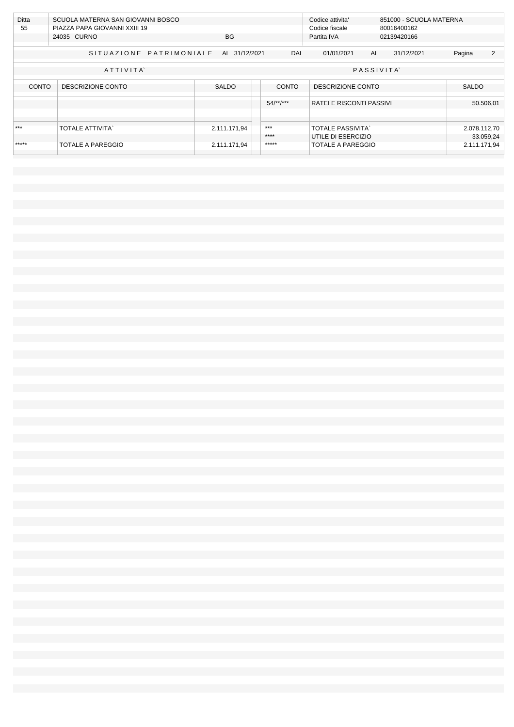| Ditta<br>SCUOLA MATERNA SAN GIOVANNI BOSCO |                               |               |              | Codice attivita'               |             | 851000 - SCUOLA MATERNA |              |   |
|--------------------------------------------|-------------------------------|---------------|--------------|--------------------------------|-------------|-------------------------|--------------|---|
|                                            |                               |               |              |                                |             |                         |              |   |
| 55                                         | PIAZZA PAPA GIOVANNI XXIII 19 |               |              | Codice fiscale                 |             | 80016400162             |              |   |
|                                            | 24035 CURNO                   | BG.           |              | Partita IVA                    | 02139420166 |                         |              |   |
|                                            |                               |               |              |                                |             |                         |              |   |
|                                            | SITUAZIONE PATRIMONIALE       | AL 31/12/2021 | <b>DAL</b>   | 01/01/2021                     | AL          | 31/12/2021              | Pagina       | 2 |
|                                            | ATTIVITA                      |               |              | PASSIVITA                      |             |                         |              |   |
| <b>CONTO</b>                               | DESCRIZIONE CONTO             | <b>SALDO</b>  | <b>CONTO</b> | DESCRIZIONE CONTO              |             |                         | <b>SALDO</b> |   |
|                                            |                               |               | $54$ /**/*** | <b>RATELE RISCONTI PASSIVI</b> |             |                         | 50.506,01    |   |
|                                            |                               |               |              |                                |             |                         |              |   |
|                                            |                               |               |              |                                |             |                         |              |   |
| ***                                        | <b>TOTALE ATTIVITA'</b>       | 2.111.171,94  | ***          | <b>TOTALE PASSIVITA</b>        |             |                         | 2.078.112,70 |   |
|                                            |                               |               | ****         | UTILE DI ESERCIZIO             |             |                         | 33.059,24    |   |
| *****                                      | <b>TOTALE A PAREGGIO</b>      | 2.111.171,94  | *****        | <b>TOTALE A PAREGGIO</b>       |             |                         | 2.111.171,94 |   |
|                                            |                               |               |              |                                |             |                         |              |   |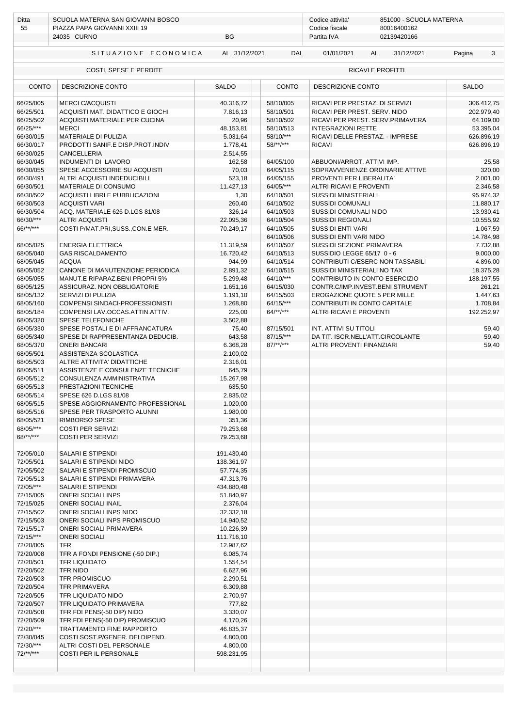| Ditta<br>55                                 | SCUOLA MATERNA SAN GIOVANNI BOSCO<br>PIAZZA PAPA GIOVANNI XXIII 19 | Codice attivita'<br>851000 - SCUOLA MATERNA<br>80016400162<br>Codice fiscale |                        |                                                      |                          |  |  |
|---------------------------------------------|--------------------------------------------------------------------|------------------------------------------------------------------------------|------------------------|------------------------------------------------------|--------------------------|--|--|
|                                             | 24035 CURNO                                                        | BG                                                                           |                        | Partita IVA<br>02139420166                           |                          |  |  |
|                                             | SITUAZIONE ECONOMICA                                               | AL 31/12/2021                                                                | DAL                    | 01/01/2021<br>AL<br>31/12/2021                       | Pagina<br>3              |  |  |
| COSTI, SPESE E PERDITE<br>RICAVI E PROFITTI |                                                                    |                                                                              |                        |                                                      |                          |  |  |
| <b>CONTO</b><br>DESCRIZIONE CONTO           |                                                                    | <b>SALDO</b>                                                                 | <b>CONTO</b>           | DESCRIZIONE CONTO                                    | <b>SALDO</b>             |  |  |
| 66/25/005                                   | <b>MERCI C/ACQUISTI</b>                                            | 40.316,72                                                                    | 58/10/005              | RICAVI PER PRESTAZ. DI SERVIZI                       | 306.412,75               |  |  |
| 66/25/501                                   | ACQUISTI MAT. DIDATTICO E GIOCHI                                   | 7.816,13                                                                     | 58/10/501              | RICAVI PER PREST. SERV. NIDO                         | 202.979,40               |  |  |
| 66/25/502                                   | ACQUISTI MATERIALE PER CUCINA                                      | 20,96                                                                        | 58/10/502              | RICAVI PER PREST. SERV.PRIMAVERA                     | 64.109,00                |  |  |
| 66/25/***                                   | <b>MERCI</b>                                                       | 48.153,81                                                                    | 58/10/513<br>58/10/*** | <b>INTEGRAZIONI RETTE</b>                            | 53.395,04                |  |  |
| 66/30/015<br>66/30/017                      | MATERIALE DI PULIZIA<br>PRODOTTI SANIF.E DISP.PROT.INDIV           | 5.031,64<br>1.778,41                                                         | $58$ /**/***           | RICAVI DELLE PRESTAZ. - IMPRESE<br><b>RICAVI</b>     | 626.896,19<br>626.896,19 |  |  |
| 66/30/025                                   | <b>CANCELLERIA</b>                                                 | 2.514,55                                                                     |                        |                                                      |                          |  |  |
| 66/30/045                                   | INDUMENTI DI LAVORO                                                | 162,58                                                                       | 64/05/100              | ABBUONI/ARROT. ATTIVI IMP.                           | 25,58                    |  |  |
| 66/30/055                                   | SPESE ACCESSORIE SU ACQUISTI                                       | 70,03                                                                        | 64/05/115              | SOPRAVVENIENZE ORDINARIE ATTIVE                      | 320,00                   |  |  |
| 66/30/491                                   | ALTRI ACQUISTI INDEDUCIBILI                                        | 523,18                                                                       | 64/05/155              | PROVENTI PER LIBERALITA'                             | 2.001,00                 |  |  |
| 66/30/501                                   | MATERIALE DI CONSUMO                                               | 11.427,13                                                                    | 64/05/***              | ALTRI RICAVI E PROVENTI                              | 2.346,58                 |  |  |
| 66/30/502                                   | ACQUISTI LIBRI E PUBBLICAZIONI                                     | 1,30                                                                         | 64/10/501              | <b>SUSSIDI MINISTERIALI</b>                          | 95.974,32                |  |  |
| 66/30/503                                   | <b>ACQUISTI VARI</b>                                               | 260,40                                                                       | 64/10/502              | <b>SUSSIDI COMUNALI</b>                              | 11.880,17                |  |  |
| 66/30/504                                   | ACQ. MATERIALE 626 D.LGS 81/08                                     | 326,14                                                                       | 64/10/503              | SUSSIDI COMUNALI NIDO                                | 13.930,41                |  |  |
| 66/30/***<br>$66$ /**/***                   | <b>ALTRI ACQUISTI</b><br>COSTI P/MAT.PRI, SUSS., CON.E MER.        | 22.095,36<br>70.249,17                                                       | 64/10/504<br>64/10/505 | <b>SUSSIDI REGIONALI</b><br><b>SUSSIDI ENTI VARI</b> | 10.555,92<br>1.067,59    |  |  |
|                                             |                                                                    |                                                                              | 64/10/506              | SUSSIDI ENTI VARI NIDO                               | 14.784,98                |  |  |
| 68/05/025                                   | <b>ENERGIA ELETTRICA</b>                                           | 11.319,59                                                                    | 64/10/507              | SUSSIDI SEZIONE PRIMAVERA                            | 7.732,88                 |  |  |
| 68/05/040                                   | <b>GAS RISCALDAMENTO</b>                                           | 16.720,42                                                                    | 64/10/513              | SUSSIDIO LEGGE 65/17 0 - 6                           | 9.000,00                 |  |  |
| 68/05/045                                   | <b>ACQUA</b>                                                       | 944,99                                                                       | 64/10/514              | CONTRIBUTI C/ESERC NON TASSABILI                     | 4.896,00                 |  |  |
| 68/05/052                                   | CANONE DI MANUTENZIONE PERIODICA                                   | 2.891,32                                                                     | 64/10/515              | SUSSIDI MINISTERIALI NO TAX                          | 18.375,28                |  |  |
| 68/05/055                                   | MANUT.E RIPARAZ.BENI PROPRI 5%                                     | 5.299,48                                                                     | 64/10/***              | CONTRIBUTO IN CONTO ESERCIZIO                        | 188.197,55               |  |  |
| 68/05/125                                   | ASSICURAZ. NON OBBLIGATORIE                                        | 1.651,16                                                                     | 64/15/030              | CONTR.C/IMP.INVEST.BENI STRUMENT                     | 261,21                   |  |  |
| 68/05/132                                   | SERVIZI DI PULIZIA                                                 | 1.191,10                                                                     | 64/15/503              | EROGAZIONE QUOTE 5 PER MILLE                         | 1.447,63                 |  |  |
| 68/05/160                                   | COMPENSI SINDACI-PROFESSIONISTI                                    | 1.268,80                                                                     | $64/15$ /***           | CONTRIBUTI IN CONTO CAPITALE                         | 1.708,84                 |  |  |
| 68/05/184                                   | COMPENSI LAV.OCCAS.ATTIN.ATTIV.                                    | 225,00                                                                       | $64$ /**/***           | ALTRI RICAVI E PROVENTI                              | 192.252,97               |  |  |
| 68/05/320<br>68/05/330                      | SPESE TELEFONICHE<br>SPESE POSTALI E DI AFFRANCATURA               | 3.502,88<br>75,40                                                            | 87/15/501              | INT. ATTIVI SU TITOLI                                | 59,40                    |  |  |
| 68/05/340                                   | SPESE DI RAPPRESENTANZA DEDUCIB.                                   | 643,58                                                                       | 87/15/***              | DA TIT. ISCR.NELL'ATT.CIRCOLANTE                     | 59,40                    |  |  |
| 68/05/370                                   | <b>ONERI BANCARI</b>                                               | 6.368,28                                                                     | $87$ /**/***           | ALTRI PROVENTI FINANZIARI                            | 59,40                    |  |  |
| 68/05/501                                   | ASSISTENZA SCOLASTICA                                              | 2.100,02                                                                     |                        |                                                      |                          |  |  |
| 68/05/503                                   | ALTRE ATTIVITA' DIDATTICHE                                         | 2.316,01                                                                     |                        |                                                      |                          |  |  |
| 68/05/511                                   | ASSISTENZE E CONSULENZE TECNICHE                                   | 645,79                                                                       |                        |                                                      |                          |  |  |
| 68/05/512                                   | CONSULENZA AMMINISTRATIVA                                          | 15.267,98                                                                    |                        |                                                      |                          |  |  |
| 68/05/513                                   | PRESTAZIONI TECNICHE                                               | 635,50                                                                       |                        |                                                      |                          |  |  |
| 68/05/514                                   | SPESE 626 D.LGS 81/08                                              | 2.835,02                                                                     |                        |                                                      |                          |  |  |
| 68/05/515                                   | SPESE AGGIORNAMENTO PROFESSIONAL                                   | 1.020,00                                                                     |                        |                                                      |                          |  |  |
| 68/05/516<br>68/05/521                      | SPESE PER TRASPORTO ALUNNI<br>RIMBORSO SPESE                       | 1.980,00                                                                     |                        |                                                      |                          |  |  |
| 68/05/***                                   | <b>COSTI PER SERVIZI</b>                                           | 351,36<br>79.253,68                                                          |                        |                                                      |                          |  |  |
| $68$ /**/***                                | <b>COSTI PER SERVIZI</b>                                           | 79.253,68                                                                    |                        |                                                      |                          |  |  |
|                                             |                                                                    |                                                                              |                        |                                                      |                          |  |  |
| 72/05/010                                   | SALARI E STIPENDI                                                  | 191.430,40                                                                   |                        |                                                      |                          |  |  |
| 72/05/501                                   | SALARI E STIPENDI NIDO                                             | 138.361,97                                                                   |                        |                                                      |                          |  |  |
| 72/05/502                                   | SALARI E STIPENDI PROMISCUO                                        | 57.774,35                                                                    |                        |                                                      |                          |  |  |
| 72/05/513                                   | SALARI E STIPENDI PRIMAVERA                                        | 47.313,76                                                                    |                        |                                                      |                          |  |  |
| 72/05/***                                   | SALARI E STIPENDI                                                  | 434.880,48                                                                   |                        |                                                      |                          |  |  |
| 72/15/005                                   | <b>ONERI SOCIALI INPS</b>                                          | 51.840,97                                                                    |                        |                                                      |                          |  |  |
| 72/15/025<br>72/15/502                      | <b>ONERI SOCIALI INAIL</b><br>ONERI SOCIALI INPS NIDO              | 2.376,04<br>32.332,18                                                        |                        |                                                      |                          |  |  |
| 72/15/503                                   | ONERI SOCIALI INPS PROMISCUO                                       | 14.940,52                                                                    |                        |                                                      |                          |  |  |
| 72/15/517                                   | ONERI SOCIALI PRIMAVERA                                            | 10.226,39                                                                    |                        |                                                      |                          |  |  |
| 72/15/***                                   | <b>ONERI SOCIALI</b>                                               | 111.716,10                                                                   |                        |                                                      |                          |  |  |
| 72/20/005                                   | TFR                                                                | 12.987,62                                                                    |                        |                                                      |                          |  |  |
| 72/20/008                                   | TFR A FONDI PENSIONE (-50 DIP.)                                    | 6.085,74                                                                     |                        |                                                      |                          |  |  |
| 72/20/501                                   | TFR LIQUIDATO                                                      | 1.554,54                                                                     |                        |                                                      |                          |  |  |
| 72/20/502                                   | <b>TFR NIDO</b>                                                    | 6.627,96                                                                     |                        |                                                      |                          |  |  |
| 72/20/503                                   | TFR PROMISCUO                                                      | 2.290,51                                                                     |                        |                                                      |                          |  |  |
| 72/20/504<br>72/20/505                      | <b>TFR PRIMAVERA</b><br>TFR LIQUIDATO NIDO                         | 6.309,88<br>2.700,97                                                         |                        |                                                      |                          |  |  |
| 72/20/507                                   | TFR LIQUIDATO PRIMAVERA                                            | 777,82                                                                       |                        |                                                      |                          |  |  |
| 72/20/508                                   | TFR FDI PENS(-50 DIP) NIDO                                         | 3.330,07                                                                     |                        |                                                      |                          |  |  |
| 72/20/509                                   | TFR FDI PENS(-50 DIP) PROMISCUO                                    | 4.170,26                                                                     |                        |                                                      |                          |  |  |
| 72/20/***                                   | TRATTAMENTO FINE RAPPORTO                                          | 46.835,37                                                                    |                        |                                                      |                          |  |  |
| 72/30/045                                   | COSTI SOST.P/GENER. DEI DIPEND.                                    | 4.800,00                                                                     |                        |                                                      |                          |  |  |
| 72/30/***                                   | ALTRI COSTI DEL PERSONALE                                          | 4.800,00                                                                     |                        |                                                      |                          |  |  |
| $72$ /**/***                                | COSTI PER IL PERSONALE                                             | 598.231,95                                                                   |                        |                                                      |                          |  |  |
|                                             |                                                                    |                                                                              |                        |                                                      |                          |  |  |